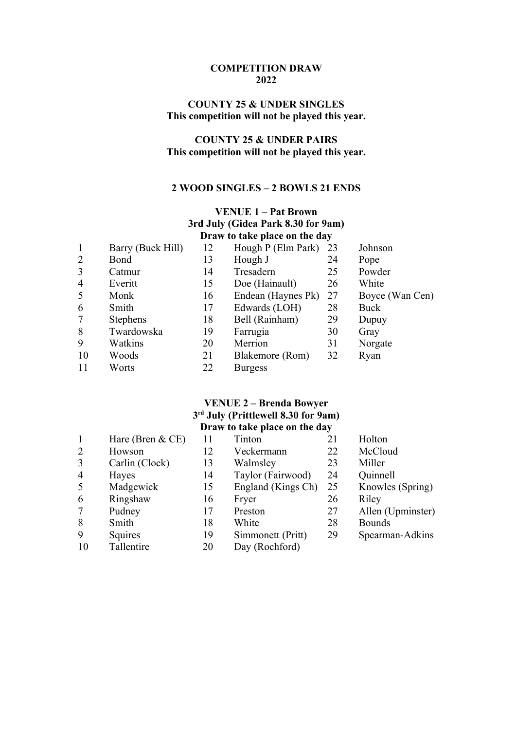## **COMPETITION DRAW**

## **COUNTY 25 & UNDER SINGLES This competition will not be played this year.**

# **COUNTY 25 & UNDER PAIRS This competition will not be played this year.**

## **2 WOOD SINGLES – 2 BOWLS 21 ENDS**

#### **VENUE 1 – Pat Brown 3rd July (Gidea Park 8.30 for 9am) Draw to take place on the day**

| $\mathbf{1}$   | Barry (Buck Hill) | 12 | Hough P (Elm Park) | 23 | Johnson         |
|----------------|-------------------|----|--------------------|----|-----------------|
| 2              | Bond              | 13 | Hough J            | 24 | Pope            |
| 3              | Catmur            | 14 | Tresadern          | 25 | Powder          |
| $\overline{4}$ | Everitt           | 15 | Doe (Hainault)     | 26 | White           |
| 5              | Monk              | 16 | Endean (Haynes Pk) | 27 | Boyce (Wan Cen) |
| 6              | Smith             | 17 | Edwards (LOH)      | 28 | <b>Buck</b>     |
| $\overline{7}$ | <b>Stephens</b>   | 18 | Bell (Rainham)     | 29 | Dupuy           |
| 8              | Twardowska        | 19 | Farrugia           | 30 | Gray            |
| 9              | Watkins           | 20 | Merrion            | 31 | Norgate         |
| 10             | Woods             | 21 | Blakemore (Rom)    | 32 | Ryan            |
| 11             | Worts             | 22 | <b>Burgess</b>     |    |                 |

#### **VENUE 2 – Brenda Bowyer rd July (Prittlewell 8.30 for 9am) Draw to take place on the day**

| $\mathbf{1}$   | Hare (Bren $& CE$ ) | 11 | Tinton             | 21 | Holton            |
|----------------|---------------------|----|--------------------|----|-------------------|
| 2              | Howson              | 12 | Veckermann         | 22 | McCloud           |
| $\overline{3}$ | Carlin (Clock)      | 13 | Walmsley           | 23 | Miller            |
| $\overline{4}$ | Hayes               | 14 | Taylor (Fairwood)  | 24 | Quinnell          |
| 5              | Madgewick           | 15 | England (Kings Ch) | 25 | Knowles (Spring)  |
| 6              | Ringshaw            | 16 | Fryer              | 26 | Riley             |
| 7              | Pudney              | 17 | Preston            | 27 | Allen (Upminster) |
| 8              | Smith               | 18 | White              | 28 | <b>Bounds</b>     |
| 9              | Squires             | 19 | Simmonett (Pritt)  | 29 | Spearman-Adkins   |
| 10             | Tallentire          | 20 | Day (Rochford)     |    |                   |
|                |                     |    |                    |    |                   |